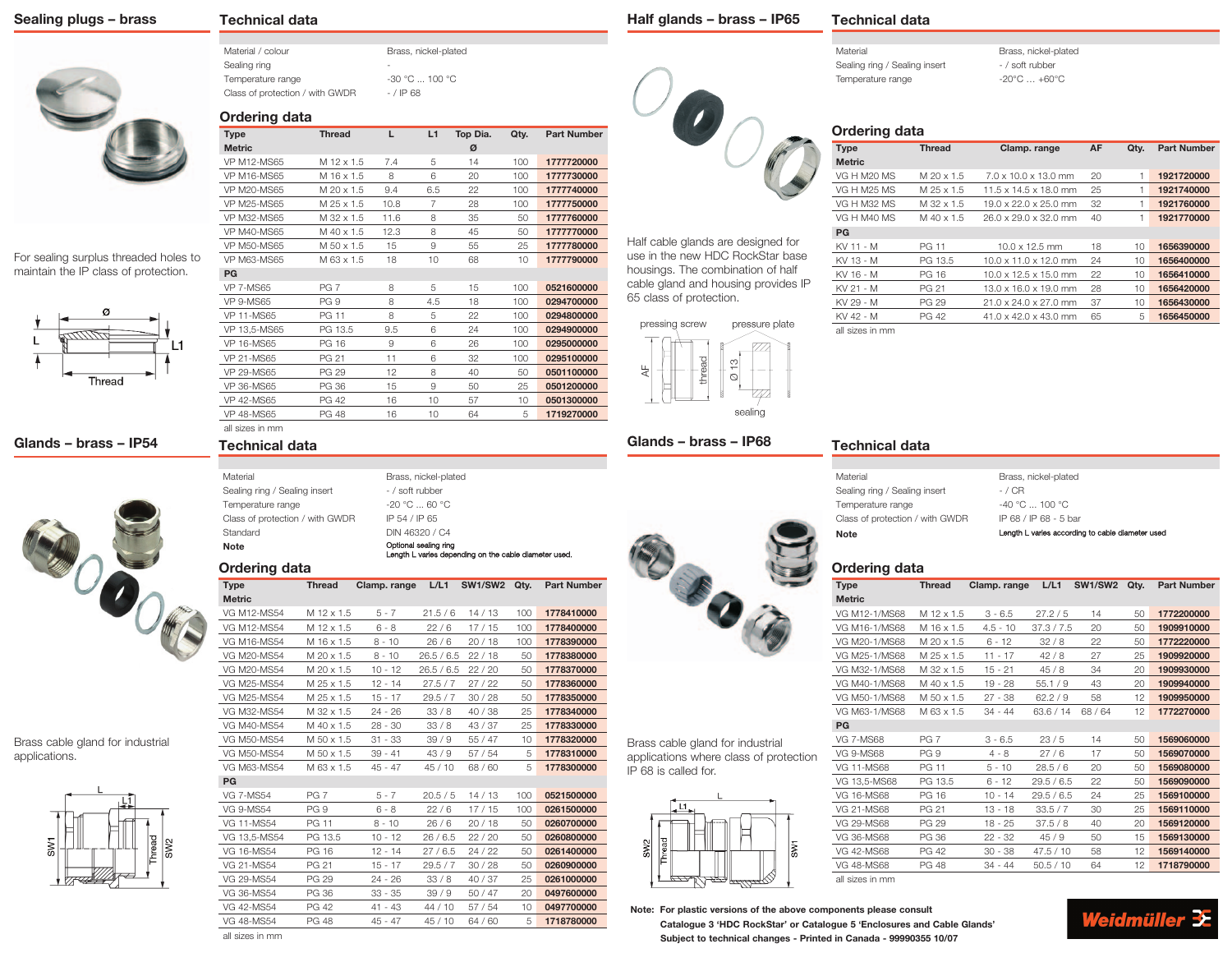### **Sealing plugs – brass**

# **Technical data**

Material / colour Brass, nickel-plated Sealing ring Temperature range  $-30 °C ... 100 °C$ Class of protection / with GWDR - / IP 68

#### **Ordering data**

| <b>Type</b>        | <b>Thread</b>                                      | L        | L1           | Top Dia. | Qty. | <b>Part Number</b> |
|--------------------|----------------------------------------------------|----------|--------------|----------|------|--------------------|
| <b>Metric</b>      |                                                    |          |              | ø        |      |                    |
| <b>VP M12-MS65</b> | M 12 x 1.5                                         | 7.4      | 5            | 14       | 100  | 1777720000         |
| <b>VP M16-MS65</b> | M 16 x 1.5                                         | 8        | 6            | 20       | 100  | 1777730000         |
| <b>VP M20-MS65</b> | M 20 x 1.5                                         | 9.4      | 6.5          | 22       | 100  | 1777740000         |
| <b>VP M25-MS65</b> | M 25 x 1.5                                         | 10.8     | 7            | 28       | 100  | 1777750000         |
| <b>VP M32-MS65</b> | M 32 x 1.5                                         | 11.6     | 8            | 35       | 50   | 1777760000         |
| <b>VP M40-MS65</b> | M 40 x 1.5                                         | 12.3     | 8            | 45       | 50   | 1777770000         |
| <b>VP M50-MS65</b> | M 50 x 1.5                                         | 15       | 9            | 55       | 25   | 1777780000         |
| <b>VP M63-MS65</b> | M 63 x 1.5                                         | 18       | 10           | 68       | 10   | 1777790000         |
| PG                 |                                                    |          |              |          |      |                    |
| <b>VP 7-MS65</b>   | <b>PG 7</b>                                        | 8        | 5            | 15       | 100  | 0521600000         |
| <b>VP 9-MS65</b>   | PG <sub>9</sub>                                    | 8        | 4.5          | 18       | 100  | 0294700000         |
| <b>ID 44 MOOF</b>  | $\Gamma$ $\cap$ $\cap$ $\rightarrow$ $\rightarrow$ | $\Omega$ | $\mathbf{r}$ | $\cap$   | 100  | <b>COO</b> 4000000 |

| 0294700000 | 100 | 18 | 4.5 | 8   | PG 9         | VP 9-MS65         |
|------------|-----|----|-----|-----|--------------|-------------------|
| 0294800000 | 100 | 22 | 5   | 8   | PG 11        | <b>VP 11-MS65</b> |
| 0294900000 | 100 | 24 | 6   | 9.5 | PG 13.5      | VP 13,5-MS65      |
| 0295000000 | 100 | 26 | 6   | 9   | PG 16        | VP 16-MS65        |
| 0295100000 | 100 | 32 | 6   | 11  | PG 21        | VP 21-MS65        |
| 0501100000 | 50  | 40 | 8   | 12  | PG 29        | VP 29-MS65        |
| 0501200000 | 25  | 50 | 9   | 15  | PG 36        | VP 36-MS65        |
| 0501300000 | 10  | 57 | 10  | 16  | PG 42        | VP 42-MS65        |
| 1719270000 | 5   | 64 | 10  | 16  | <b>PG 48</b> | VP 48-MS65        |

**Half glands – brass – IP65**

### **Technical data**

Material Brass, nickel-plated Sealing ring / Sealing insert - / soft rubber Temperature range  $-20^{\circ}\text{C} \dots +60^{\circ}\text{C}$ 

# **Ordering data**

| <b>Type</b>             | <b>Thread</b> | Clamp. range                      | AF | Qty. | <b>Part Number</b> |
|-------------------------|---------------|-----------------------------------|----|------|--------------------|
| <b>Metric</b>           |               |                                   |    |      |                    |
| VG H M <sub>20</sub> MS | $M$ 20 x 1.5  | $7.0 \times 10.0 \times 13.0$ mm  | 20 | 1    | 1921720000         |
| <b>VG H M25 MS</b>      | M 25 x 1.5    | 11.5 x 14.5 x 18.0 mm             | 25 | 1    | 1921740000         |
| VG H M32 MS             | M 32 x 1.5    | $19.0 \times 22.0 \times 25.0$ mm | 32 | 1.   | 1921760000         |
| VG H M40 MS             | $M$ 40 x 1.5  | 26.0 x 29.0 x 32.0 mm             | 40 | 1    | 1921770000         |
| PG                      |               |                                   |    |      |                    |
| KV 11 - M               | <b>PG 11</b>  | $10.0 \times 12.5$ mm             | 18 | 10   | 1656390000         |
| KV 13 - M               | PG 13.5       | $10.0 \times 11.0 \times 12.0$ mm | 24 | 10   | 1656400000         |
| KV 16 - M               | PG 16         | $10.0 \times 12.5 \times 15.0$ mm | 22 | 10   | 1656410000         |
| KV 21 - M               | PG 21         | $13.0 \times 16.0 \times 19.0$ mm | 28 | 10   | 1656420000         |
| KV 29 - M               | <b>PG 29</b>  | $21.0 \times 24.0 \times 27.0$ mm | 37 | 10   | 1656430000         |
| KV 42 - M               | <b>PG 42</b>  | $41.0 \times 42.0 \times 43.0$ mm | 65 | 5    | 1656450000         |
|                         |               |                                   |    |      |                    |

all sizes in mm



**Glands – brass – IP68**

Half cable glands are designed for use in the new HDC RockStar base housings. The combination of half cable gland and housing provides IP

65 class of protection.

#### **Technical data**

Material Sealing ring / Sealing insert Temperature range Class of protection / with GWDR

| Brass, nickel-plated  |
|-----------------------|
| - / CR                |
| $-40 °C$ 100 °C       |
| IP 68 / IP 68 - 5 bar |
|                       |

Note **Note** Length L varies according to cable diameter used

#### **Ordering data**

| <b>Type</b>       | <b>Thread</b>   | Clamp. range | L/L1       | SW1/SW2 | Qty. | <b>Part Number</b> |
|-------------------|-----------------|--------------|------------|---------|------|--------------------|
| <b>Metric</b>     |                 |              |            |         |      |                    |
| VG M12-1/MS68     | M 12 x 1.5      | $3 - 6.5$    | 27.2/5     | 14      | 50   | 1772200000         |
| VG M16-1/MS68     | M 16 x 1.5      | $4.5 - 10$   | 37.3 / 7.5 | 20      | 50   | 1909910000         |
| VG M20-1/MS68     | M 20 x 1.5      | $6 - 12$     | 32/8       | 22      | 50   | 1772220000         |
| VG M25-1/MS68     | M 25 x 1.5      | $11 - 17$    | 42/8       | 27      | 25   | 1909920000         |
| VG M32-1/MS68     | M 32 x 1.5      | $15 - 21$    | 45/8       | 34      | 20   | 1909930000         |
| VG M40-1/MS68     | M 40 x 1.5      | $19 - 28$    | 55.1/9     | 43      | 20   | 1909940000         |
| VG M50-1/MS68     | M 50 x 1.5      | $27 - 38$    | 62.2/9     | 58      | 12   | 1909950000         |
| VG M63-1/MS68     | M 63 x 1.5      | $34 - 44$    | 63.6 / 14  | 68/64   | 12   | 1772270000         |
| PG                |                 |              |            |         |      |                    |
| <b>VG 7-MS68</b>  | PG <sub>7</sub> | $3 - 6.5$    | 23/5       | 14      | 50   | 1569060000         |
| <b>VG 9-MS68</b>  | PG <sub>9</sub> | $4 - 8$      | 27/6       | 17      | 50   | 1569070000         |
| <b>VG 11-MS68</b> | <b>PG 11</b>    | $5 - 10$     | 28.5/6     | 20      | 50   | 1569080000         |
| VG 13,5-MS68      | PG 13.5         | $6 - 12$     | 29.5 / 6.5 | 22      | 50   | 1569090000         |
| VG 16-MS68        | PG 16           | $10 - 14$    | 29.5/6.5   | 24      | 25   | 1569100000         |
| VG 21-MS68        | PG 21           | $13 - 18$    | 33.5/7     | 30      | 25   | 1569110000         |
| <b>VG 29-MS68</b> | <b>PG 29</b>    | $18 - 25$    | 37.5/8     | 40      | 20   | 1569120000         |
| VG 36-MS68        | PG 36           | $22 - 32$    | 45/9       | 50      | 15   | 1569130000         |
| VG 42-MS68        | <b>PG 42</b>    | $30 - 38$    | 47.5 / 10  | 58      | 12   | 1569140000         |
| VG 48-MS68        | <b>PG 48</b>    | $34 - 44$    | 50.5 / 10  | 64      | 12   | 1718790000         |
| all sizes in mm   |                 |              |            |         |      |                    |

# **Note: For plastic versions of the above components please consult**



### all sizes in mm **Technical data**

| لمقمام الممتانية والمتناكر      |                                                                                |
|---------------------------------|--------------------------------------------------------------------------------|
| Note                            | Optional sealing ring<br>Length L varies depending on the cable diameter used. |
| Standard                        | DIN 46320 / C4                                                                 |
| Class of protection / with GWDR | IP 54 / IP 65                                                                  |
| Temperature range               | $-20 °C  60 °C$                                                                |
| Sealing ring / Sealing insert   | - / soft rubber                                                                |
| Material                        | Brass, nickel-plated                                                           |
|                                 |                                                                                |

| <b>Type</b>        | <b>Thread</b> | Clamp. range | L/L1       | <b>SW1/SW2</b> | Qty. | <b>Part Number</b> |
|--------------------|---------------|--------------|------------|----------------|------|--------------------|
| <b>Metric</b>      |               |              |            |                |      |                    |
| <b>VG M12-MS54</b> | M 12 x 1.5    | $5 - 7$      | 21.5/6     | 14/13          | 100  | 1778410000         |
| VG M12-MS54        | M 12 x 1.5    | $6 - 8$      | 22/6       | 17/15          | 100  | 1778400000         |
| <b>VG M16-MS54</b> | M 16 x 1.5    | $8 - 10$     | 26/6       | 20/18          | 100  | 1778390000         |
| VG M20-MS54        | M 20 x 1.5    | $8 - 10$     | 26.5 / 6.5 | 22/18          | 50   | 1778380000         |
| VG M20-MS54        | M 20 x 1.5    | $10 - 12$    | 26.5/6.5   | 22/20          | 50   | 1778370000         |
| VG M25-MS54        | M 25 x 1.5    | $12 - 14$    | 27.5/7     | 27/22          | 50   | 1778360000         |
| VG M25-MS54        | M 25 x 1.5    | 15 - 17      | 29.5/7     | 30/28          | 50   | 1778350000         |
| VG M32-MS54        | M 32 x 1.5    | $24 - 26$    | 33/8       | 40/38          | 25   | 1778340000         |
| <b>VG M40-MS54</b> | M 40 x 1.5    | $28 - 30$    | 33/8       | 43/37          | 25   | 1778330000         |
| VG M50-MS54        | M 50 x 1.5    | $31 - 33$    | 39/9       | 55/47          | 10   | 1778320000         |
| VG M50-MS54        | M 50 x 1.5    | $39 - 41$    | 43/9       | 57/54          | 5    | 1778310000         |
| VG M63-MS54        | M 63 x 1.5    | $45 - 47$    | 45/10      | 68 / 60        | 5    | 1778300000         |
| PG                 |               |              |            |                |      |                    |
| VC 7 MCEA          | DC 7          | 57           | 20B/K      | $11/19$        | 100  | 0621500000         |

| <b>VG 7-MS54</b> | PG 7            | $5 - 7$   | 20.5/5 | 14/13   | 100 | 0521500000 |
|------------------|-----------------|-----------|--------|---------|-----|------------|
| <b>VG 9-MS54</b> | PG <sub>9</sub> | $6 - 8$   | 22/6   | 17/15   | 100 | 0261500000 |
| VG 11-MS54       | PG 11           | $8 - 10$  | 26/6   | 20/18   | 50  | 0260700000 |
| VG 13.5-MS54     | PG 13.5         | 10 - 12   | 26/6.5 | 22/20   | 50  | 0260800000 |
| VG 16-MS54       | PG 16           | $12 - 14$ | 27/6.5 | 24/22   | 50  | 0261400000 |
| VG 21-MS54       | PG 21           | 15 - 17   | 29.5/7 | 30/28   | 50  | 0260900000 |
| VG 29-MS54       | <b>PG 29</b>    | $24 - 26$ | 33/8   | 40/37   | 25  | 0261000000 |
| VG 36-MS54       | PG 36           | $33 - 35$ | 39/9   | 50/47   | 20  | 0497600000 |
| VG 42-MS54       | PG 42           | $41 - 43$ | 44/10  | 57/54   | 10  | 0497700000 |
| VG 48-MS54       | <b>PG 48</b>    | $45 - 47$ | 45/10  | 64 / 60 | 5   | 1718780000 |
| all sizes in mm  |                 |           |        |         |     |            |



Brass cable gland for industrial applications where class of protection





IP 68 is called for.

### **Catalogue 3 'HDC RockStar' or Catalogue 5 'Enclosures and Cable Glands' Subject to technical changes - Printed in Canada - 99990355 10/07**

Brass, nickel-plated

For sealing surplus threaded holes to maintain the IP class of protection.



**Glands – brass – IP54**



Brass cable gland for industrial applications.